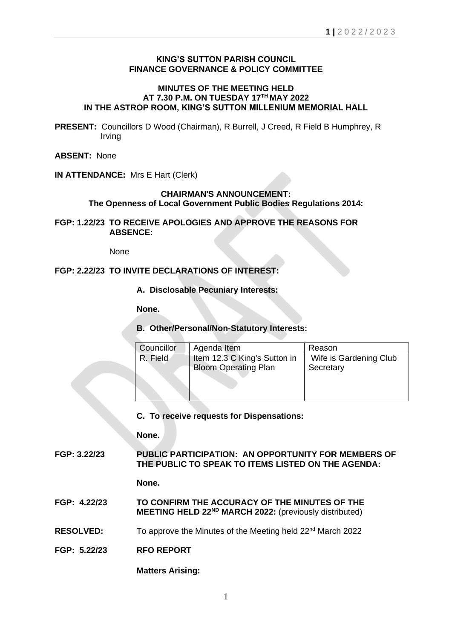# **KING'S SUTTON PARISH COUNCIL FINANCE GOVERNANCE & POLICY COMMITTEE**

### **MINUTES OF THE MEETING HELD AT 7.30 P.M. ON TUESDAY 17TH MAY 2022 IN THE ASTROP ROOM, KING'S SUTTON MILLENIUM MEMORIAL HALL**

**PRESENT:** Councillors D Wood (Chairman), R Burrell, J Creed, R Field B Humphrey, R Irving

**ABSENT:** None

**IN ATTENDANCE:** Mrs E Hart (Clerk)

# **CHAIRMAN'S ANNOUNCEMENT:**

**The Openness of Local Government Public Bodies Regulations 2014:**

**FGP: 1.22/23 TO RECEIVE APOLOGIES AND APPROVE THE REASONS FOR ABSENCE:**

None

# **FGP: 2.22/23 TO INVITE DECLARATIONS OF INTEREST:**

**A. Disclosable Pecuniary Interests:**

**None.**

# **B. Other/Personal/Non-Statutory Interests:**

| Councillor | Agenda Item                                                 | Reason                              |
|------------|-------------------------------------------------------------|-------------------------------------|
| R. Field   | Item 12.3 C King's Sutton in<br><b>Bloom Operating Plan</b> | Wife is Gardening Club<br>Secretary |
|            |                                                             |                                     |

#### **C. To receive requests for Dispensations:**

**None.**

**FGP: 3.22/23 PUBLIC PARTICIPATION: AN OPPORTUNITY FOR MEMBERS OF THE PUBLIC TO SPEAK TO ITEMS LISTED ON THE AGENDA:**

**None.**

- **FGP: 4.22/23 TO CONFIRM THE ACCURACY OF THE MINUTES OF THE MEETING HELD 22ND MARCH 2022:** (previously distributed)
- **RESOLVED:** To approve the Minutes of the Meeting held 22<sup>nd</sup> March 2022
- **FGP: 5.22/23 RFO REPORT**

**Matters Arising:**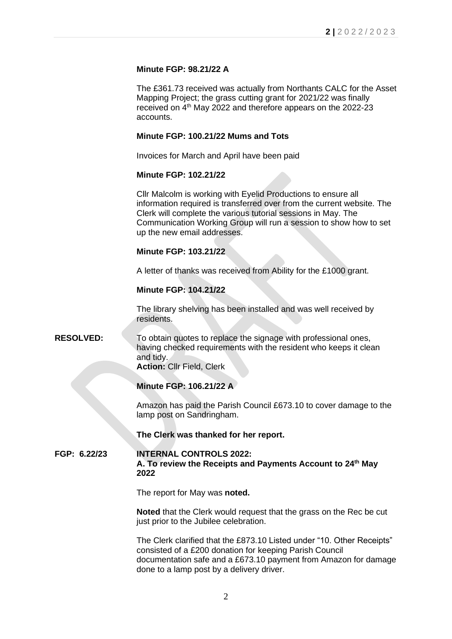# **Minute FGP: 98.21/22 A**

The £361.73 received was actually from Northants CALC for the Asset Mapping Project; the grass cutting grant for 2021/22 was finally received on 4th May 2022 and therefore appears on the 2022-23 accounts.

#### **Minute FGP: 100.21/22 Mums and Tots**

Invoices for March and April have been paid

#### **Minute FGP: 102.21/22**

Cllr Malcolm is working with Eyelid Productions to ensure all information required is transferred over from the current website. The Clerk will complete the various tutorial sessions in May. The Communication Working Group will run a session to show how to set up the new email addresses.

#### **Minute FGP: 103.21/22**

A letter of thanks was received from Ability for the £1000 grant.

#### **Minute FGP: 104.21/22**

The library shelving has been installed and was well received by residents.

# **RESOLVED:** To obtain quotes to replace the signage with professional ones, having checked requirements with the resident who keeps it clean and tidy.

**Action:** Cllr Field, Clerk

# **Minute FGP: 106.21/22 A**

Amazon has paid the Parish Council £673.10 to cover damage to the lamp post on Sandringham.

#### **The Clerk was thanked for her report.**

# **FGP: 6.22/23 INTERNAL CONTROLS 2022: A. To review the Receipts and Payments Account to 24th May 2022**

The report for May was **noted.**

**Noted** that the Clerk would request that the grass on the Rec be cut just prior to the Jubilee celebration.

The Clerk clarified that the £873.10 Listed under "10. Other Receipts" consisted of a £200 donation for keeping Parish Council documentation safe and a £673.10 payment from Amazon for damage done to a lamp post by a delivery driver.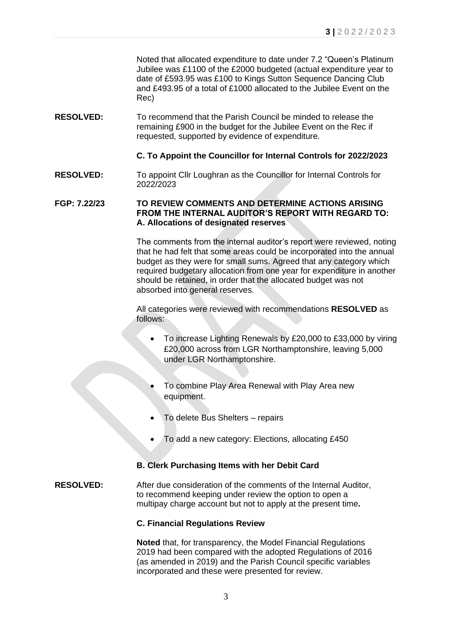Noted that allocated expenditure to date under 7.2 "Queen's Platinum Jubilee was £1100 of the £2000 budgeted (actual expenditure year to date of £593.95 was £100 to Kings Sutton Sequence Dancing Club and £493.95 of a total of £1000 allocated to the Jubilee Event on the Rec)

**RESOLVED:** To recommend that the Parish Council be minded to release the remaining £900 in the budget for the Jubilee Event on the Rec if requested, supported by evidence of expenditure.

# **C. To Appoint the Councillor for Internal Controls for 2022/2023**

**RESOLVED:** To appoint Cllr Loughran as the Councillor for Internal Controls for 2022/2023

### **FGP: 7.22/23 TO REVIEW COMMENTS AND DETERMINE ACTIONS ARISING FROM THE INTERNAL AUDITOR'S REPORT WITH REGARD TO: A. Allocations of designated reserves**

The comments from the internal auditor's report were reviewed, noting that he had felt that some areas could be incorporated into the annual budget as they were for small sums. Agreed that any category which required budgetary allocation from one year for expenditure in another should be retained, in order that the allocated budget was not absorbed into general reserves.

All categories were reviewed with recommendations **RESOLVED** as follows:

- To increase Lighting Renewals by £20,000 to £33,000 by viring £20,000 across from LGR Northamptonshire, leaving 5,000 under LGR Northamptonshire.
- To combine Play Area Renewal with Play Area new equipment.
- To delete Bus Shelters repairs
- To add a new category: Elections, allocating £450

# **B. Clerk Purchasing Items with her Debit Card**

### **RESOLVED:** After due consideration of the comments of the Internal Auditor, to recommend keeping under review the option to open a multipay charge account but not to apply at the present time**.**

#### **C. Financial Regulations Review**

**Noted** that, for transparency, the Model Financial Regulations 2019 had been compared with the adopted Regulations of 2016 (as amended in 2019) and the Parish Council specific variables incorporated and these were presented for review.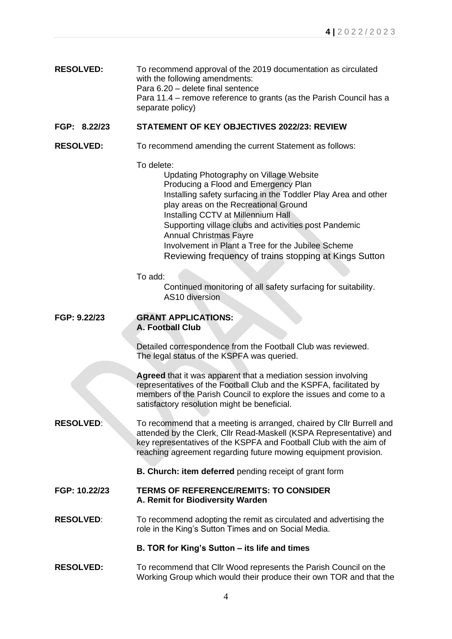| <b>RESOLVED:</b> | To recommend approval of the 2019 documentation as circulated       |
|------------------|---------------------------------------------------------------------|
|                  | with the following amendments:                                      |
|                  | Para 6.20 – delete final sentence                                   |
|                  | Para 11.4 – remove reference to grants (as the Parish Council has a |
|                  | separate policy)                                                    |

# **FGP: 8.22/23 STATEMENT OF KEY OBJECTIVES 2022/23: REVIEW**

**RESOLVED:** To recommend amending the current Statement as follows:

To delete:

Updating Photography on Village Website Producing a Flood and Emergency Plan Installing safety surfacing in the Toddler Play Area and other play areas on the Recreational Ground Installing CCTV at Millennium Hall Supporting village clubs and activities post Pandemic Annual Christmas Fayre Involvement in Plant a Tree for the Jubilee Scheme Reviewing frequency of trains stopping at Kings Sutton

To add:

Continued monitoring of all safety surfacing for suitability. AS10 diversion

#### **FGP: 9.22/23 GRANT APPLICATIONS: A. Football Club**

Detailed correspondence from the Football Club was reviewed. The legal status of the KSPFA was queried.

**Agreed** that it was apparent that a mediation session involving representatives of the Football Club and the KSPFA, facilitated by members of the Parish Council to explore the issues and come to a satisfactory resolution might be beneficial.

**RESOLVED:** To recommend that a meeting is arranged, chaired by Cllr Burrell and attended by the Clerk, Cllr Read-Maskell (KSPA Representative) and key representatives of the KSPFA and Football Club with the aim of reaching agreement regarding future mowing equipment provision.

 **B. Church: item deferred** pending receipt of grant form

# **FGP: 10.22/23 TERMS OF REFERENCE/REMITS: TO CONSIDER A. Remit for Biodiversity Warden**

**RESOLVED:** To recommend adopting the remit as circulated and advertising the role in the King's Sutton Times and on Social Media.

### **B. TOR for King's Sutton – its life and times**

**RESOLVED:** To recommend that Cllr Wood represents the Parish Council on the Working Group which would their produce their own TOR and that the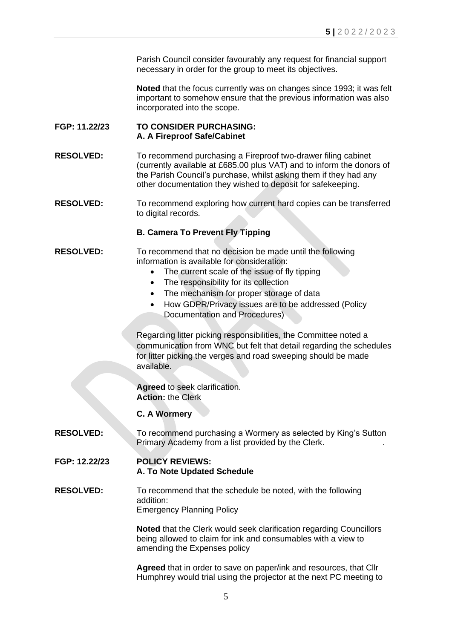Parish Council consider favourably any request for financial support necessary in order for the group to meet its objectives.

**Noted** that the focus currently was on changes since 1993; it was felt important to somehow ensure that the previous information was also incorporated into the scope.

### **FGP: 11.22/23 TO CONSIDER PURCHASING: A. A Fireproof Safe/Cabinet**

**RESOLVED:** To recommend purchasing a Fireproof two-drawer filing cabinet (currently available at £685.00 plus VAT) and to inform the donors of the Parish Council's purchase, whilst asking them if they had any other documentation they wished to deposit for safekeeping.

**RESOLVED:** To recommend exploring how current hard copies can be transferred to digital records.

# **B. Camera To Prevent Fly Tipping**

#### **RESOLVED:** To recommend that no decision be made until the following information is available for consideration:

- The current scale of the issue of fly tipping
- The responsibility for its collection
- The mechanism for proper storage of data
- How GDPR/Privacy issues are to be addressed (Policy Documentation and Procedures)

Regarding litter picking responsibilities, the Committee noted a communication from WNC but felt that detail regarding the schedules for litter picking the verges and road sweeping should be made available.

**Agreed** to seek clarification. **Action:** the Clerk

#### **C. A Wormery**

**RESOLVED:** To recommend purchasing a Wormery as selected by King's Sutton Primary Academy from a list provided by the Clerk. .

#### **FGP: 12.22/23 POLICY REVIEWS: A. To Note Updated Schedule**

**RESOLVED:** To recommend that the schedule be noted, with the following addition: Emergency Planning Policy

> **Noted** that the Clerk would seek clarification regarding Councillors being allowed to claim for ink and consumables with a view to amending the Expenses policy

> **Agreed** that in order to save on paper/ink and resources, that Cllr Humphrey would trial using the projector at the next PC meeting to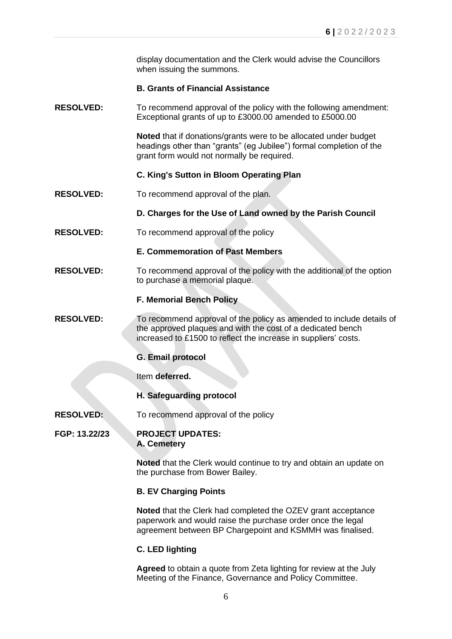display documentation and the Clerk would advise the Councillors when issuing the summons.

# **B. Grants of Financial Assistance**

**RESOLVED:** To recommend approval of the policy with the following amendment: Exceptional grants of up to £3000.00 amended to £5000.00

> **Noted** that if donations/grants were to be allocated under budget headings other than "grants" (eg Jubilee") formal completion of the grant form would not normally be required.

# **C. King's Sutton in Bloom Operating Plan**

**RESOLVED:** To recommend approval of the plan.

# **D. Charges for the Use of Land owned by the Parish Council**

**RESOLVED:** To recommend approval of the policy

# **E. Commemoration of Past Members**

**RESOLVED:** To recommend approval of the policy with the additional of the option to purchase a memorial plaque.

# **F. Memorial Bench Policy**

- **RESOLVED:** To recommend approval of the policy as amended to include details of the approved plaques and with the cost of a dedicated bench increased to £1500 to reflect the increase in suppliers' costs.
	- **G. Email protocol**

Item **deferred.**

**H. Safeguarding protocol**

**RESOLVED:** To recommend approval of the policy

### **FGP: 13.22/23 PROJECT UPDATES: A. Cemetery**

**Noted** that the Clerk would continue to try and obtain an update on the purchase from Bower Bailey.

#### **B. EV Charging Points**

**Noted** that the Clerk had completed the OZEV grant acceptance paperwork and would raise the purchase order once the legal agreement between BP Chargepoint and KSMMH was finalised.

# **C. LED lighting**

**Agreed** to obtain a quote from Zeta lighting for review at the July Meeting of the Finance, Governance and Policy Committee.